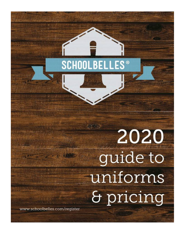## **SCHOOLBELLES**  $^{\circ}$

# 新学院 2020 guide to uniforms & pricing

www.schoolbelles.com/register

Milk i bu

**The Kada**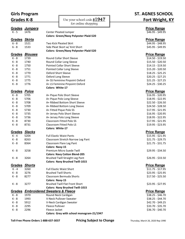|               |                                          |                             | for online shopping                           |                    |
|---------------|------------------------------------------|-----------------------------|-----------------------------------------------|--------------------|
| <b>Grades</b> | <b>Jumpers</b>                           |                             |                                               | <b>Price Range</b> |
| $K - 5$       | 1476                                     |                             | <b>Center Pleated Jumper</b>                  | \$46.95 - \$49.95  |
|               |                                          |                             | <b>Colors: Green/Navy Polyester Plaid-520</b> |                    |
| Grades Skirts |                                          |                             |                                               | <b>Price Range</b> |
| $6 - 8$       | 1521                                     |                             | Two Kick Pleated Skirt                        | \$44.95 - \$48.95  |
| $6 - 8$       | 1533                                     |                             | Side Pleat Skort w/ Knit Short                | \$45.95 - \$49.95  |
|               |                                          |                             | <b>Colors: Green/Navy Polyester Plaid-520</b> |                    |
| <b>Grades</b> | <b>Blouses</b>                           |                             |                                               | <b>Price Range</b> |
| K - 8         | 1739                                     |                             | Round Collar Short Sleeve                     | $$14.50 - $19.50$  |
| $K - 8$       | 1740                                     |                             | Round Collar Long Sleeve                      | $$15.50 - $20.50$  |
| K - 8         | 1750                                     |                             | <b>Pointed Collar Short Sleeve</b>            | $$14.15 - $19.50$  |
| K - 8         | 1751                                     |                             | Pointed Collar Long Sleeve                    | $$15.20 - $20.50$  |
| $K - 8$       | 1770                                     | Oxford Short Sleeve         |                                               | $$18.25 - $25.25$  |
| $K - 8$       | 1771                                     | Oxford Long Sleeve          |                                               | $$20.25 - $27.25$  |
| K - 8         | 1775                                     |                             | A+ SS Feminine Pinpoint Oxford                | $$21.25 - $27.25$  |
| K - 8         | 1776                                     |                             | A+ LS Feminine Pinpoint Oxford                | $$24.25 - $30.25$  |
|               |                                          | Colors: White-17            |                                               |                    |
| Grades Polos  |                                          |                             |                                               | <b>Price Range</b> |
| K - 8         | 5705                                     |                             | A+ Pique Polo Short Sleeve                    | $$16.95 - $20.95$  |
| K - 8         | 5706                                     |                             | A+ Pique Polo Long Sleeve                     | $$18.95 - $22.95$  |
| K - 8         | 5708                                     |                             | A+ Ribbed Bottom Short Sleeve                 | $$22.50 - $26.50$  |
| K - 8         | 5709                                     |                             | A+ Ribbed Bottom Long Sleeve                  | $$24.50 - $28.50$  |
| K - 8         | 5730                                     |                             | A+ Fitted Pique Polo SS                       | $$17.95 - $21.95$  |
| K - 8         | 5735                                     |                             | A+ Jersey Polo Short Sleeve                   | $$16.95 - $20.95$  |
| K - 8         | 5736                                     |                             | A+ Jersey Polo Long Sleeve                    | $$18.95 - $22.95$  |
| K - 8         | 8730                                     |                             | <b>Classroom Fitted Polo SS</b>               | $$17.95 - $21.95$  |
| K - 8         | 8731                                     |                             | <b>Classroom Fitted Polo LS</b>               | $$19.95 - $23.95$  |
|               |                                          | Colors: White-17            |                                               |                    |
| <b>Grades</b> | <b>Slacks</b>                            |                             |                                               | <b>Price Range</b> |
| $K - 4$       | 5204                                     |                             | <b>Full Elastic Waist Pants</b>               | $$15.95 - $21.95$  |
| K - 8         | 8263                                     |                             | Classroom Stretch Narrow Leg Pant             | $$21.75 - $29.75$  |
| K - 8         | 8364                                     |                             | Classroom Flare Leg Pant                      | $$21.75 - $31.75$  |
|               |                                          | <b>Colors: Navy-15</b>      |                                               |                    |
| K - 8         | 3258                                     |                             | Premium Micro Suede Twill                     | $$29.95 - $34.50$  |
|               |                                          |                             | <b>Colors: Navy Cotton Blend-205</b>          |                    |
| K - 8         | 3264                                     |                             | Brushed Twill Straight Leg Pant               | \$26.95 - \$33.50  |
|               |                                          |                             | <b>Colors: Navy Brushed Twill-1015</b>        |                    |
| Grades        | <b>Shorts</b>                            |                             |                                               | <b>Price Range</b> |
| K - 4         | 3260                                     |                             | <b>Full Elastic Waist Short</b>               | $$11.75 - $17.95$  |
| K - 8         | 3276                                     | <b>Brushed Twill Shorts</b> |                                               | $$23.95 - $25.95$  |
| K - 8         | 8277                                     |                             | Classroom Bermuda Shorts                      | \$17.50 - \$25.50  |
|               |                                          | <b>Colors: Navy-15</b>      |                                               |                    |
| K - 8         | 3277                                     |                             | <b>Brushed Twill Flat Front Short</b>         | $$23.95 - $27.95$  |
|               |                                          |                             | <b>Colors: Navy Brushed Twill-1015</b>        |                    |
| Grades        | <b>Embroidered Sweaters &amp; Fleece</b> |                             |                                               | <b>Price Range</b> |
| K - 8         | 1970                                     |                             | Round Neck Cardigan                           | $$38.25 - $46.70$  |
| K - 8         | 1993                                     |                             | V-Neck Pullover Sweater                       | \$38.25 - \$44.70  |
| K - 8         | 5912                                     |                             | V-Neck Cardigan Sweater                       | \$42.70 - \$49.25  |
| K - 8         | 2295                                     | Fleece Pullover             |                                               | \$33.70 - \$35.70  |
| K - 8         | 2296                                     | Fleece Jacket               |                                               | \$36.70 - \$40.70  |
|               |                                          |                             | Colors: Grey with school monogram-21/1947     |                    |

## Girls Program **ST. AGNES SCHOOL Grades K-8** Use your school code **s1947 Fort Wright, KY**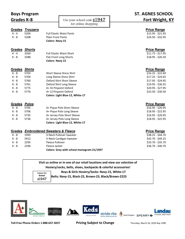| <b>Boys Program</b><br><b>Grades K-8</b> |                                                 |                          |                                                     | <b>ST. AGNES SCHOOL</b><br>Fort Wright, KY |
|------------------------------------------|-------------------------------------------------|--------------------------|-----------------------------------------------------|--------------------------------------------|
|                                          |                                                 |                          | Use your school code $s1947$<br>for online shopping |                                            |
|                                          |                                                 |                          |                                                     |                                            |
| Grades                                   | <b>Trousers</b>                                 |                          |                                                     | <b>Price Range</b>                         |
| $K - 4$                                  | 5204                                            |                          | <b>Full Elastic Waist Pants</b>                     | $$15.95 - $21.95$                          |
| $K - 8$                                  | 5208                                            | <b>Plain Front Pants</b> |                                                     | $$24.50 - $32.95$                          |
|                                          |                                                 | <b>Colors: Navy-15</b>   |                                                     |                                            |
| <b>Grades</b>                            | <b>Shorts</b>                                   |                          |                                                     | <b>Price Range</b>                         |
| $K - 4$                                  | 3260                                            |                          | <b>Full Elastic Waist Short</b>                     | $$11.75 - $17.95$                          |
| $K - 8$                                  | 3288                                            |                          | Flat Front Long Shorts                              | $$18.95 - $26.50$                          |
|                                          |                                                 | <b>Colors: Navy-15</b>   |                                                     |                                            |
| Grades                                   | <b>Shirts</b>                                   |                          |                                                     | <b>Price Range</b>                         |
| $K - 8$                                  | 5703                                            |                          | <b>Short Sleeve Dress Shirt</b>                     | $$16.25 - $22.60$                          |
| $K - 8$                                  | 5704                                            |                          | Long Sleeve Dress Shirt                             | $$17.25 - $24.65$                          |
| $K - 8$                                  | 5760                                            |                          | Oxford Shirt Short Sleeve                           | \$17.95 - \$24.95                          |
| $K - 8$                                  | 5761                                            |                          | Oxford Shirt Long Sleeve                            | $$19.95 - $36.55$                          |
| $K - 8$                                  | 5775                                            |                          | A+ SS Pinpoint Oxford                               | $$20.95 - $27.95$                          |
| K - 8                                    | 5776                                            |                          | A+ LS Pinpoint Oxford                               | $$23.50 - $30.50$                          |
|                                          |                                                 |                          | Colors: Light Blue-12, White-17                     |                                            |
| Grades Polos                             |                                                 |                          |                                                     | <b>Price Range</b>                         |
| $K - 8$                                  | 5705                                            |                          | A+ Pique Polo Short Sleeve                          | $$16.95 - $20.95$                          |
| $K - 8$                                  | 5706                                            |                          | A+ Pique Polo Long Sleeve                           | $$18.95 - $22.95$                          |
| $K - 8$                                  | 5735                                            |                          | A+ Jersey Polo Short Sleeve                         | $$16.95 - $20.95$                          |
| K - 8                                    | 5736                                            |                          | A+ Jersey Polo Long Sleeve                          | $$18.95 - $22.95$                          |
|                                          |                                                 |                          | Colors: Light Blue-12, White-17                     |                                            |
|                                          | <b>Grades Embroidered Sweaters &amp; Fleece</b> |                          |                                                     | <b>Price Range</b>                         |
| $K - 8$                                  | 1993                                            |                          | V-Neck Pullover Sweater                             | \$38.25 - \$44.70                          |
| $K - 8$                                  | 5912                                            |                          | V-Neck Cardigan Sweater                             | \$42.70 - \$49.25                          |
| $K - 8$                                  | 2295                                            | Fleece Pullover          |                                                     | \$33.70 - \$35.70                          |

| Visit us online or in one of our retail locations and view our selection of |                               |                                                      |  |  |  |
|-----------------------------------------------------------------------------|-------------------------------|------------------------------------------------------|--|--|--|
| Hosiery/socks, belts, shoes, backpacks & colorful accessories!              |                               |                                                      |  |  |  |
|                                                                             | Colors For<br>School<br>s1947 | Boys & Girls Hosiery/Socks: Navy-15, White-17        |  |  |  |
|                                                                             |                               | Belts: Navy-15, Black-22, Brown-23, Black/Brown-2223 |  |  |  |
|                                                                             |                               |                                                      |  |  |  |

K - 8 2296 Fleece Jacket 536.70 - \$40.70

**Colors: Grey with school monogram-21/1947**



**Toll-Free Phone Orders 1-888-637-3037 Pricing Subject to Change** Thursday, March 26, 2020 Rep 1990